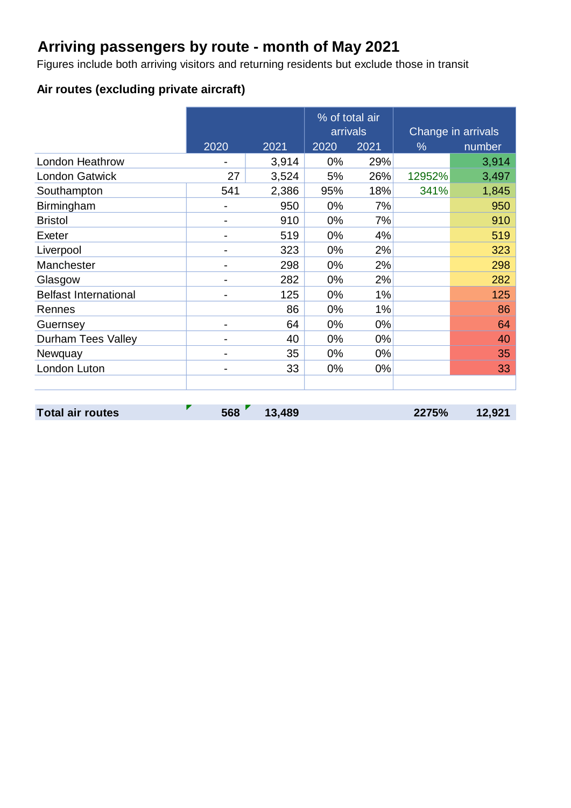# **Arriving passengers by route - month of May 2021**

Figures include both arriving visitors and returning residents but exclude those in transit

#### **Air routes (excluding private aircraft)**

|                              |      |       | % of total air<br>arrivals |       |        | Change in arrivals |
|------------------------------|------|-------|----------------------------|-------|--------|--------------------|
|                              | 2020 | 2021  | 2020                       | 2021  | $\%$   | number             |
| <b>London Heathrow</b>       |      | 3,914 | 0%                         | 29%   |        | 3,914              |
| <b>London Gatwick</b>        | 27   | 3,524 | 5%                         | 26%   | 12952% | 3,497              |
| Southampton                  | 541  | 2,386 | 95%                        | 18%   | 341%   | 1,845              |
| Birmingham                   |      | 950   | 0%                         | 7%    |        | 950                |
| <b>Bristol</b>               |      | 910   | 0%                         | 7%    |        | 910                |
| Exeter                       |      | 519   | 0%                         | 4%    |        | 519                |
| Liverpool                    |      | 323   | 0%                         | 2%    |        | 323                |
| Manchester                   |      | 298   | 0%                         | 2%    |        | 298                |
| Glasgow                      |      | 282   | 0%                         | 2%    |        | 282                |
| <b>Belfast International</b> |      | 125   | 0%                         | 1%    |        | 125                |
| Rennes                       |      | 86    | 0%                         | 1%    |        | 86                 |
| Guernsey                     |      | 64    | 0%                         | $0\%$ |        | 64                 |
| <b>Durham Tees Valley</b>    |      | 40    | $0\%$                      | 0%    |        | 40                 |
| Newquay                      |      | 35    | 0%                         | $0\%$ |        | 35                 |
| London Luton                 |      | 33    | 0%                         | $0\%$ |        | 33                 |
|                              |      |       |                            |       |        |                    |

**Total air routes 568 13,489 2275% 12,921**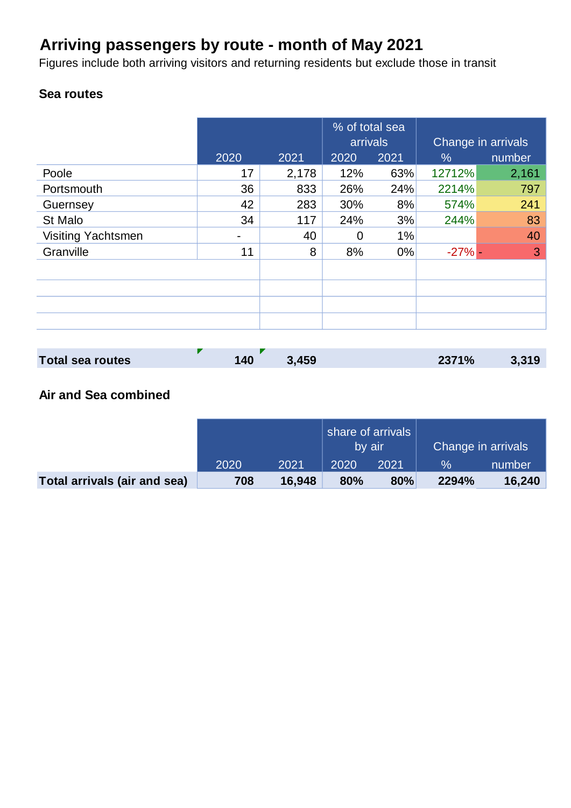# **Arriving passengers by route - month of May 2021**

Figures include both arriving visitors and returning residents but exclude those in transit

### **Sea routes**

|                           |      |       | % of total sea<br>arrivals |       | Change in arrivals |        |  |
|---------------------------|------|-------|----------------------------|-------|--------------------|--------|--|
|                           | 2020 | 2021  | 2020                       | 2021  | $\%$               | number |  |
| Poole                     | 17   | 2,178 | 12%                        | 63%   | 12712%             | 2,161  |  |
| Portsmouth                | 36   | 833   | 26%                        | 24%   | 2214%              | 797    |  |
| Guernsey                  | 42   | 283   | 30%                        | 8%    | 574%               | 241    |  |
| St Malo                   | 34   | 117   | 24%                        | 3%    | 244%               | 83     |  |
| <b>Visiting Yachtsmen</b> |      | 40    | 0                          | 1%    |                    | 40     |  |
| Granville                 | 11   | 8     | 8%                         | $0\%$ | $-27%$ -           | 3      |  |
|                           |      |       |                            |       |                    |        |  |
|                           |      |       |                            |       |                    |        |  |
|                           |      |       |                            |       |                    |        |  |
|                           |      |       |                            |       |                    |        |  |

| <b>Total sea routes</b> | 140 | 3,459 | 2371% | 3,319 |
|-------------------------|-----|-------|-------|-------|

### **Air and Sea combined**

|                              |      |        | share of arrivals<br>by air |      | Change in arrivals |        |  |
|------------------------------|------|--------|-----------------------------|------|--------------------|--------|--|
|                              | 2020 | 2021   | 2020                        | 2021 | $\%$               | number |  |
| Total arrivals (air and sea) | 708  | 16.948 | 80%                         | 80%  | 2294%              | 16,240 |  |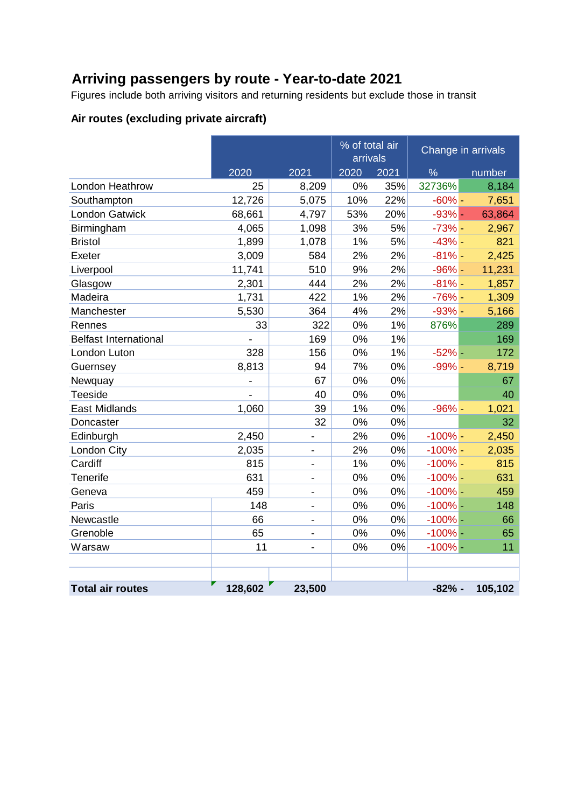## **Arriving passengers by route - Year-to-date 2021**

Figures include both arriving visitors and returning residents but exclude those in transit

### **Air routes (excluding private aircraft)**

|                              |         |                              | % of total air<br>arrivals |       | Change in arrivals |         |
|------------------------------|---------|------------------------------|----------------------------|-------|--------------------|---------|
|                              | 2020    | 2021                         | 2020                       | 2021  | $\frac{9}{6}$      | number  |
| London Heathrow              | 25      | 8,209                        | 0%                         | 35%   | 32736%             | 8,184   |
| Southampton                  | 12,726  | 5,075                        | 10%                        | 22%   | $-60% -$           | 7,651   |
| <b>London Gatwick</b>        | 68,661  | 4,797                        | 53%                        | 20%   | $-93%$ -           | 63,864  |
| Birmingham                   | 4,065   | 1,098                        | 3%                         | 5%    | $-73%$ -           | 2,967   |
| <b>Bristol</b>               | 1,899   | 1,078                        | 1%                         | 5%    | $-43%$ -           | 821     |
| Exeter                       | 3,009   | 584                          | 2%                         | 2%    | $-81%$ -           | 2,425   |
| Liverpool                    | 11,741  | 510                          | 9%                         | 2%    | $-96%$ -           | 11,231  |
| Glasgow                      | 2,301   | 444                          | 2%                         | 2%    | $-81%$ -           | 1,857   |
| Madeira                      | 1,731   | 422                          | 1%                         | 2%    | $-76%$ -           | 1,309   |
| Manchester                   | 5,530   | 364                          | 4%                         | 2%    | $-93%$ -           | 5,166   |
| Rennes                       | 33      | 322                          | 0%                         | 1%    | 876%               | 289     |
| <b>Belfast International</b> |         | 169                          | 0%                         | 1%    |                    | 169     |
| London Luton                 | 328     | 156                          | 0%                         | 1%    | $-52%$ -           | 172     |
| Guernsey                     | 8,813   | 94                           | 7%                         | 0%    | $-99%$ -           | 8,719   |
| Newquay                      |         | 67                           | 0%                         | 0%    |                    | 67      |
| Teeside                      |         | 40                           | 0%                         | 0%    |                    | 40      |
| East Midlands                | 1,060   | 39                           | 1%                         | 0%    | $-96%$ -           | 1,021   |
| Doncaster                    |         | 32                           | 0%                         | 0%    |                    | 32      |
| Edinburgh                    | 2,450   | $\qquad \qquad \blacksquare$ | 2%                         | 0%    | $-100%$ -          | 2,450   |
| London City                  | 2,035   | $\overline{\phantom{a}}$     | 2%                         | 0%    | $-100\%$ -         | 2,035   |
| Cardiff                      | 815     | $\blacksquare$               | 1%                         | 0%    | $-100%$ -          | 815     |
| Tenerife                     | 631     |                              | 0%                         | 0%    | $-100%$ -          | 631     |
| Geneva                       | 459     | $\overline{\phantom{a}}$     | 0%                         | 0%    | $-100%$ -          | 459     |
| Paris                        | 148     | $\qquad \qquad \blacksquare$ | 0%                         | 0%    | $-100%$ -          | 148     |
| Newcastle                    | 66      | $\blacksquare$               | 0%                         | 0%    | $-100%$ -          | 66      |
| Grenoble                     | 65      |                              | 0%                         | $0\%$ | $-100%$ -          | 65      |
| Warsaw                       | 11      | $\overline{\phantom{a}}$     | 0%                         | 0%    | $-100%$ -          | 11      |
|                              |         |                              |                            |       |                    |         |
|                              |         |                              |                            |       |                    |         |
| <b>Total air routes</b>      | 128,602 | 23,500                       |                            |       | $-82%$ -           | 105,102 |